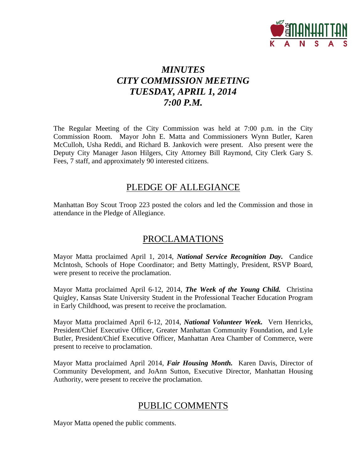

# *MINUTES CITY COMMISSION MEETING TUESDAY, APRIL 1, 2014 7:00 P.M.*

The Regular Meeting of the City Commission was held at 7:00 p.m. in the City Commission Room. Mayor John E. Matta and Commissioners Wynn Butler, Karen McCulloh, Usha Reddi, and Richard B. Jankovich were present. Also present were the Deputy City Manager Jason Hilgers, City Attorney Bill Raymond, City Clerk Gary S. Fees, 7 staff, and approximately 90 interested citizens.

## PLEDGE OF ALLEGIANCE

Manhattan Boy Scout Troop 223 posted the colors and led the Commission and those in attendance in the Pledge of Allegiance.

# PROCLAMATIONS

Mayor Matta proclaimed April 1, 2014, *National Service Recognition Day.* Candice McIntosh, Schools of Hope Coordinator; and Betty Mattingly, President, RSVP Board, were present to receive the proclamation.

Mayor Matta proclaimed April 6-12, 2014, *The Week of the Young Child.* Christina Quigley, Kansas State University Student in the Professional Teacher Education Program in Early Childhood, was present to receive the proclamation.

Mayor Matta proclaimed April 6-12, 2014, *National Volunteer Week.* Vern Henricks, President/Chief Executive Officer, Greater Manhattan Community Foundation, and Lyle Butler, President/Chief Executive Officer, Manhattan Area Chamber of Commerce, were present to receive to proclamation.

Mayor Matta proclaimed April 2014, *Fair Housing Month.* Karen Davis, Director of Community Development, and JoAnn Sutton, Executive Director, Manhattan Housing Authority, were present to receive the proclamation.

# PUBLIC COMMENTS

Mayor Matta opened the public comments.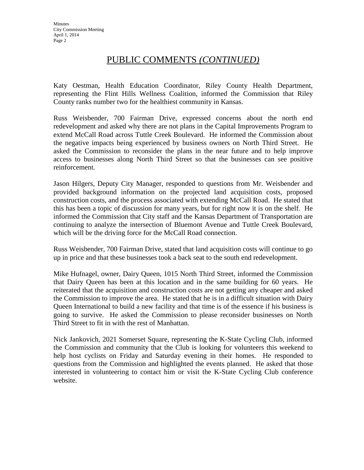## PUBLIC COMMENTS *(CONTINUED)*

Katy Oestman, Health Education Coordinator, Riley County Health Department, representing the Flint Hills Wellness Coalition, informed the Commission that Riley County ranks number two for the healthiest community in Kansas.

Russ Weisbender, 700 Fairman Drive, expressed concerns about the north end redevelopment and asked why there are not plans in the Capital Improvements Program to extend McCall Road across Tuttle Creek Boulevard. He informed the Commission about the negative impacts being experienced by business owners on North Third Street. He asked the Commission to reconsider the plans in the near future and to help improve access to businesses along North Third Street so that the businesses can see positive reinforcement.

Jason Hilgers, Deputy City Manager, responded to questions from Mr. Weisbender and provided background information on the projected land acquisition costs, proposed construction costs, and the process associated with extending McCall Road. He stated that this has been a topic of discussion for many years, but for right now it is on the shelf. He informed the Commission that City staff and the Kansas Department of Transportation are continuing to analyze the intersection of Bluemont Avenue and Tuttle Creek Boulevard, which will be the driving force for the McCall Road connection.

Russ Weisbender, 700 Fairman Drive, stated that land acquisition costs will continue to go up in price and that these businesses took a back seat to the south end redevelopment.

Mike Hufnagel, owner, Dairy Queen, 1015 North Third Street, informed the Commission that Dairy Queen has been at this location and in the same building for 60 years. He reiterated that the acquisition and construction costs are not getting any cheaper and asked the Commission to improve the area. He stated that he is in a difficult situation with Dairy Queen International to build a new facility and that time is of the essence if his business is going to survive. He asked the Commission to please reconsider businesses on North Third Street to fit in with the rest of Manhattan.

Nick Jankovich, 2021 Somerset Square, representing the K-State Cycling Club, informed the Commission and community that the Club is looking for volunteers this weekend to help host cyclists on Friday and Saturday evening in their homes. He responded to questions from the Commission and highlighted the events planned. He asked that those interested in volunteering to contact him or visit the K-State Cycling Club conference website.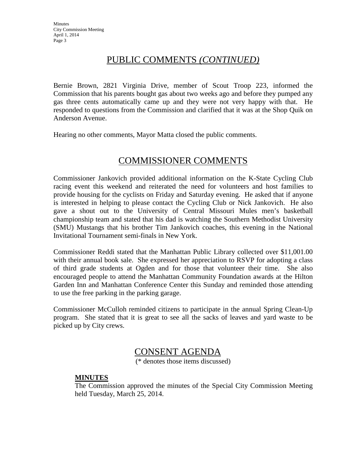# PUBLIC COMMENTS *(CONTINUED)*

Bernie Brown, 2821 Virginia Drive, member of Scout Troop 223, informed the Commission that his parents bought gas about two weeks ago and before they pumped any gas three cents automatically came up and they were not very happy with that. He responded to questions from the Commission and clarified that it was at the Shop Quik on Anderson Avenue.

Hearing no other comments, Mayor Matta closed the public comments.

# COMMISSIONER COMMENTS

Commissioner Jankovich provided additional information on the K-State Cycling Club racing event this weekend and reiterated the need for volunteers and host families to provide housing for the cyclists on Friday and Saturday evening. He asked that if anyone is interested in helping to please contact the Cycling Club or Nick Jankovich. He also gave a shout out to the University of Central Missouri Mules men's basketball championship team and stated that his dad is watching the Southern Methodist University (SMU) Mustangs that his brother Tim Jankovich coaches, this evening in the National Invitational Tournament semi-finals in New York.

Commissioner Reddi stated that the Manhattan Public Library collected over \$11,001.00 with their annual book sale. She expressed her appreciation to RSVP for adopting a class of third grade students at Ogden and for those that volunteer their time. She also encouraged people to attend the Manhattan Community Foundation awards at the Hilton Garden Inn and Manhattan Conference Center this Sunday and reminded those attending to use the free parking in the parking garage.

Commissioner McCulloh reminded citizens to participate in the annual Spring Clean-Up program. She stated that it is great to see all the sacks of leaves and yard waste to be picked up by City crews.

## CONSENT AGENDA

(\* denotes those items discussed)

## **MINUTES**

The Commission approved the minutes of the Special City Commission Meeting held Tuesday, March 25, 2014.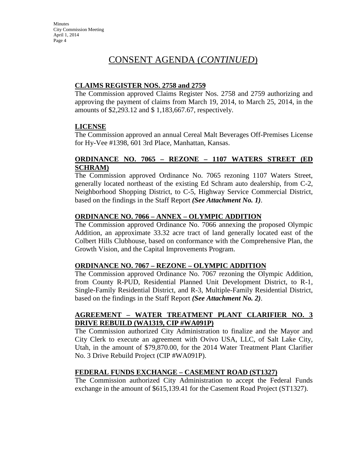# CONSENT AGENDA (*CONTINUED*)

## **CLAIMS REGISTER NOS. 2758 and 2759**

The Commission approved Claims Register Nos. 2758 and 2759 authorizing and approving the payment of claims from March 19, 2014, to March 25, 2014, in the amounts of \$2,293.12 and \$ 1,183,667.67, respectively.

## **LICENSE**

The Commission approved an annual Cereal Malt Beverages Off-Premises License for Hy-Vee #1398, 601 3rd Place, Manhattan, Kansas.

## **ORDINANCE NO. 7065 – REZONE – 1107 WATERS STREET (ED SCHRAM)**

The Commission approved Ordinance No. 7065 rezoning 1107 Waters Street, generally located northeast of the existing Ed Schram auto dealership, from C-2, Neighborhood Shopping District, to C-5, Highway Service Commercial District, based on the findings in the Staff Report *(See Attachment No. 1)*.

## **ORDINANCE NO. 7066 – ANNEX – OLYMPIC ADDITION**

The Commission approved Ordinance No. 7066 annexing the proposed Olympic Addition, an approximate 33.32 acre tract of land generally located east of the Colbert Hills Clubhouse, based on conformance with the Comprehensive Plan, the Growth Vision, and the Capital Improvements Program.

## **ORDINANCE NO. 7067 – REZONE – OLYMPIC ADDITION**

The Commission approved Ordinance No. 7067 rezoning the Olympic Addition, from County R-PUD, Residential Planned Unit Development District, to R-1, Single-Family Residential District, and R-3, Multiple-Family Residential District, based on the findings in the Staff Report *(See Attachment No. 2)*.

## **AGREEMENT – WATER TREATMENT PLANT CLARIFIER NO. 3 DRIVE REBUILD (WA1319, CIP #WA091P)**

The Commission authorized City Administration to finalize and the Mayor and City Clerk to execute an agreement with Ovivo USA, LLC, of Salt Lake City, Utah, in the amount of \$79,870.00, for the 2014 Water Treatment Plant Clarifier No. 3 Drive Rebuild Project (CIP #WA091P).

## **FEDERAL FUNDS EXCHANGE – CASEMENT ROAD (ST1327)**

The Commission authorized City Administration to accept the Federal Funds exchange in the amount of \$615,139.41 for the Casement Road Project (ST1327).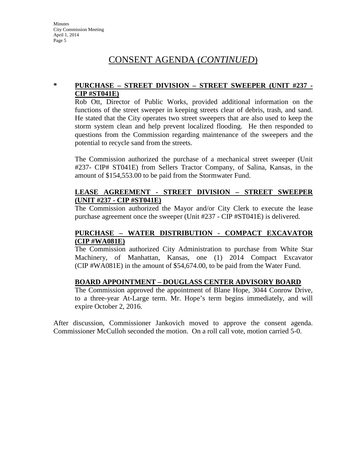# CONSENT AGENDA (*CONTINUED*)

#### **\* PURCHASE – STREET DIVISION – STREET SWEEPER (UNIT #237 - CIP #ST041E)**

Rob Ott, Director of Public Works, provided additional information on the functions of the street sweeper in keeping streets clear of debris, trash, and sand. He stated that the City operates two street sweepers that are also used to keep the storm system clean and help prevent localized flooding. He then responded to questions from the Commission regarding maintenance of the sweepers and the potential to recycle sand from the streets.

The Commission authorized the purchase of a mechanical street sweeper (Unit #237- CIP# ST041E) from Sellers Tractor Company, of Salina, Kansas, in the amount of \$154,553.00 to be paid from the Stormwater Fund.

#### **LEASE AGREEMENT - STREET DIVISION – STREET SWEEPER (UNIT #237 - CIP #ST041E)**

The Commission authorized the Mayor and/or City Clerk to execute the lease purchase agreement once the sweeper (Unit #237 - CIP #ST041E) is delivered.

#### **PURCHASE – WATER DISTRIBUTION - COMPACT EXCAVATOR (CIP #WA081E)**

The Commission authorized City Administration to purchase from White Star Machinery, of Manhattan, Kansas, one (1) 2014 Compact Excavator (CIP #WA081E) in the amount of \$54,674.00, to be paid from the Water Fund.

## **BOARD APPOINTMENT – DOUGLASS CENTER ADVISORY BOARD**

The Commission approved the appointment of Blane Hope, 3044 Conrow Drive, to a three-year At-Large term. Mr. Hope's term begins immediately, and will expire October 2, 2016.

After discussion, Commissioner Jankovich moved to approve the consent agenda. Commissioner McCulloh seconded the motion. On a roll call vote, motion carried 5-0.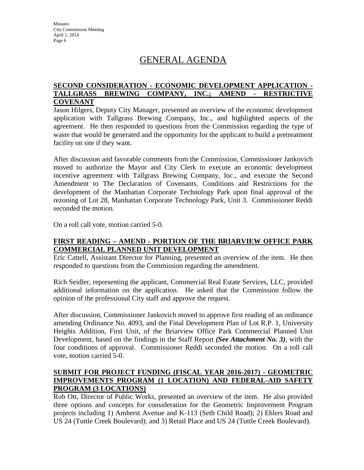# GENERAL AGENDA

#### **SECOND CONSIDERATION - ECONOMIC DEVELOPMENT APPLICATION - TALLGRASS BREWING COMPANY, INC.; AMEND - RESTRICTIVE COVENANT**

Jason Hilgers, Deputy City Manager, presented an overview of the economic development application with Tallgrass Brewing Company, Inc., and highlighted aspects of the agreement. He then responded to questions from the Commission regarding the type of waste that would be generated and the opportunity for the applicant to build a pretreatment facility on site if they want.

After discussion and favorable comments from the Commission, Commissioner Jankovich moved to authorize the Mayor and City Clerk to execute an economic development incentive agreement with Tallgrass Brewing Company, Inc., and execute the Second Amendment to The Declaration of Covenants, Conditions and Restrictions for the development of the Manhattan Corporate Technology Park upon final approval of the rezoning of Lot 28, Manhattan Corporate Technology Park, Unit 3. Commissioner Reddi seconded the motion.

On a roll call vote, motion carried 5-0.

## **FIRST READING – AMEND - PORTION OF THE BRIARVIEW OFFICE PARK COMMERCIAL PLANNED UNIT DEVELOPMENT**

Eric Cattell, Assistant Director for Planning, presented an overview of the item. He then responded to questions from the Commission regarding the amendment.

Rich Seidler, representing the applicant, Commercial Real Estate Services, LLC, provided additional information on the application. He asked that the Commission follow the opinion of the professional City staff and approve the request.

After discussion, Commissioner Jankovich moved to approve first reading of an ordinance amending Ordinance No. 4093, and the Final Development Plan of Lot R.P. 1, University Heights Addition, First Unit, of the Briarview Office Park Commercial Planned Unit Development, based on the findings in the Staff Report *(See Attachment No. 3)*, with the four conditions of approval. Commissioner Reddi seconded the motion. On a roll call vote, motion carried 5-0.

#### **SUBMIT FOR PROJECT FUNDING (FISCAL YEAR 2016-2017) - GEOMETRIC IMPROVEMENTS PROGRAM (1 LOCATION) AND FEDERAL-AID SAFETY PROGRAM (3 LOCATIONS)**

Rob Ott, Director of Public Works, presented an overview of the item. He also provided three options and concepts for consideration for the Geometric Improvement Program projects including 1) Amherst Avenue and K-113 (Seth Child Road); 2) Ehlers Road and US 24 (Tuttle Creek Boulevard); and 3) Retail Place and US 24 (Tuttle Creek Boulevard).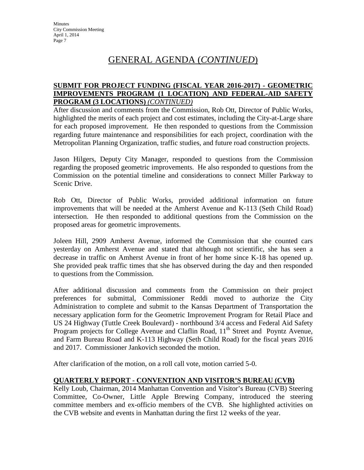# GENERAL AGENDA (*CONTINUED*)

#### **SUBMIT FOR PROJECT FUNDING (FISCAL YEAR 2016-2017) - GEOMETRIC IMPROVEMENTS PROGRAM (1 LOCATION) AND FEDERAL-AID SAFETY PROGRAM (3 LOCATIONS)** *(CONTINUED)*

After discussion and comments from the Commission, Rob Ott, Director of Public Works, highlighted the merits of each project and cost estimates, including the City-at-Large share for each proposed improvement. He then responded to questions from the Commission regarding future maintenance and responsibilities for each project, coordination with the Metropolitan Planning Organization, traffic studies, and future road construction projects.

Jason Hilgers, Deputy City Manager, responded to questions from the Commission regarding the proposed geometric improvements. He also responded to questions from the Commission on the potential timeline and considerations to connect Miller Parkway to Scenic Drive.

Rob Ott, Director of Public Works, provided additional information on future improvements that will be needed at the Amherst Avenue and K-113 (Seth Child Road) intersection. He then responded to additional questions from the Commission on the proposed areas for geometric improvements.

Joleen Hill, 2909 Amherst Avenue, informed the Commission that she counted cars yesterday on Amherst Avenue and stated that although not scientific, she has seen a decrease in traffic on Amherst Avenue in front of her home since K-18 has opened up. She provided peak traffic times that she has observed during the day and then responded to questions from the Commission.

After additional discussion and comments from the Commission on their project preferences for submittal, Commissioner Reddi moved to authorize the City Administration to complete and submit to the Kansas Department of Transportation the necessary application form for the Geometric Improvement Program for Retail Place and US 24 Highway (Tuttle Creek Boulevard) - northbound 3/4 access and Federal Aid Safety Program projects for College Avenue and Claflin Road, 11<sup>th</sup> Street and Poyntz Avenue, and Farm Bureau Road and K-113 Highway (Seth Child Road) for the fiscal years 2016 and 2017. Commissioner Jankovich seconded the motion.

After clarification of the motion, on a roll call vote, motion carried 5-0.

## **QUARTERLY REPORT - CONVENTION AND VISITOR'S BUREAU (CVB)**

Kelly Loub, Chairman, 2014 Manhattan Convention and Visitor's Bureau (CVB) Steering Committee, Co-Owner, Little Apple Brewing Company, introduced the steering committee members and ex-officio members of the CVB. She highlighted activities on the CVB website and events in Manhattan during the first 12 weeks of the year.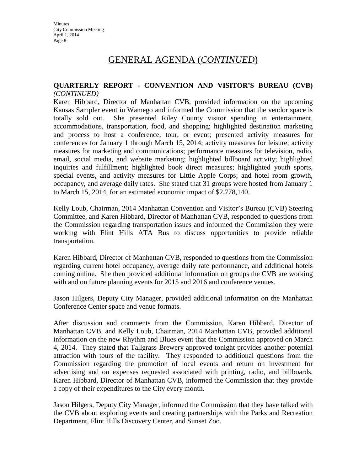# GENERAL AGENDA (*CONTINUED*)

#### **QUARTERLY REPORT - CONVENTION AND VISITOR'S BUREAU (CVB)** *(CONTINUED)*

Karen Hibbard, Director of Manhattan CVB, provided information on the upcoming Kansas Sampler event in Wamego and informed the Commission that the vendor space is totally sold out. She presented Riley County visitor spending in entertainment, accommodations, transportation, food, and shopping; highlighted destination marketing and process to host a conference, tour, or event; presented activity measures for conferences for January 1 through March 15, 2014; activity measures for leisure; activity measures for marketing and communications; performance measures for television, radio, email, social media, and website marketing; highlighted billboard activity; highlighted inquiries and fulfillment; highlighted book direct measures; highlighted youth sports, special events, and activity measures for Little Apple Corps; and hotel room growth, occupancy, and average daily rates. She stated that 31 groups were hosted from January 1 to March 15, 2014, for an estimated economic impact of \$2,778,140.

Kelly Loub, Chairman, 2014 Manhattan Convention and Visitor's Bureau (CVB) Steering Committee, and Karen Hibbard, Director of Manhattan CVB, responded to questions from the Commission regarding transportation issues and informed the Commission they were working with Flint Hills ATA Bus to discuss opportunities to provide reliable transportation.

Karen Hibbard, Director of Manhattan CVB, responded to questions from the Commission regarding current hotel occupancy, average daily rate performance, and additional hotels coming online. She then provided additional information on groups the CVB are working with and on future planning events for 2015 and 2016 and conference venues.

Jason Hilgers, Deputy City Manager, provided additional information on the Manhattan Conference Center space and venue formats.

After discussion and comments from the Commission, Karen Hibbard, Director of Manhattan CVB, and Kelly Loub, Chairman, 2014 Manhattan CVB, provided additional information on the new Rhythm and Blues event that the Commission approved on March 4, 2014. They stated that Tallgrass Brewery approved tonight provides another potential attraction with tours of the facility. They responded to additional questions from the Commission regarding the promotion of local events and return on investment for advertising and on expenses requested associated with printing, radio, and billboards. Karen Hibbard, Director of Manhattan CVB, informed the Commission that they provide a copy of their expenditures to the City every month.

Jason Hilgers, Deputy City Manager, informed the Commission that they have talked with the CVB about exploring events and creating partnerships with the Parks and Recreation Department, Flint Hills Discovery Center, and Sunset Zoo.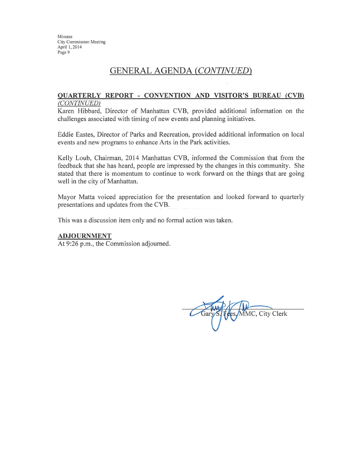## **GENERAL AGENDA (CONTINUED)**

#### **QUARTERLY REPORT - CONVENTION AND VISITOR'S BUREAU (CVB)** (CONTINUED)

Karen Hibbard, Director of Manhattan CVB, provided additional information on the challenges associated with timing of new events and planning initiatives.

Eddie Eastes, Director of Parks and Recreation, provided additional information on local events and new programs to enhance Arts in the Park activities.

Kelly Loub, Chairman, 2014 Manhattan CVB, informed the Commission that from the feedback that she has heard, people are impressed by the changes in this community. She stated that there is momentum to continue to work forward on the things that are going well in the city of Manhattan.

Mayor Matta voiced appreciation for the presentation and looked forward to quarterly presentations and updates from the CVB.

This was a discussion item only and no formal action was taken.

#### **ADJOURNMENT**

At 9:26 p.m., the Commission adjourned.

MMC, City Clerk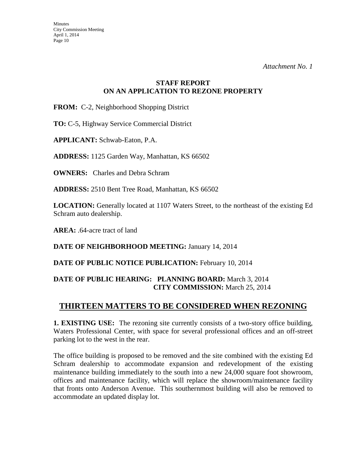## **STAFF REPORT ON AN APPLICATION TO REZONE PROPERTY**

**FROM:** C-2, Neighborhood Shopping District

**TO:** C-5, Highway Service Commercial District

**APPLICANT:** Schwab-Eaton, P.A.

**ADDRESS:** 1125 Garden Way, Manhattan, KS 66502

**OWNERS:** Charles and Debra Schram

**ADDRESS:** 2510 Bent Tree Road, Manhattan, KS 66502

**LOCATION:** Generally located at 1107 Waters Street, to the northeast of the existing Ed Schram auto dealership.

**AREA:** .64-acre tract of land

**DATE OF NEIGHBORHOOD MEETING:** January 14, 2014

DATE OF PUBLIC NOTICE PUBLICATION: February 10, 2014

## **DATE OF PUBLIC HEARING: PLANNING BOARD:** March 3, 2014 **CITY COMMISSION:** March 25, 2014

## **THIRTEEN MATTERS TO BE CONSIDERED WHEN REZONING**

**1. EXISTING USE:** The rezoning site currently consists of a two-story office building, Waters Professional Center, with space for several professional offices and an off-street parking lot to the west in the rear.

The office building is proposed to be removed and the site combined with the existing Ed Schram dealership to accommodate expansion and redevelopment of the existing maintenance building immediately to the south into a new 24,000 square foot showroom, offices and maintenance facility, which will replace the showroom/maintenance facility that fronts onto Anderson Avenue. This southernmost building will also be removed to accommodate an updated display lot.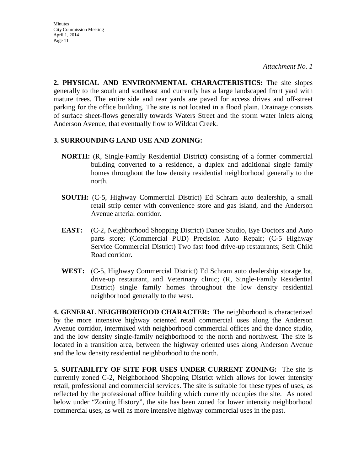**Minutes** City Commission Meeting April 1, 2014 Page 11

**2. PHYSICAL AND ENVIRONMENTAL CHARACTERISTICS:** The site slopes generally to the south and southeast and currently has a large landscaped front yard with mature trees. The entire side and rear yards are paved for access drives and off-street parking for the office building. The site is not located in a flood plain. Drainage consists of surface sheet-flows generally towards Waters Street and the storm water inlets along Anderson Avenue, that eventually flow to Wildcat Creek.

#### **3. SURROUNDING LAND USE AND ZONING:**

- **NORTH:** (R, Single-Family Residential District) consisting of a former commercial building converted to a residence, a duplex and additional single family homes throughout the low density residential neighborhood generally to the north.
- **SOUTH:** (C-5, Highway Commercial District) Ed Schram auto dealership, a small retail strip center with convenience store and gas island, and the Anderson Avenue arterial corridor.
- **EAST:** (C-2, Neighborhood Shopping District) Dance Studio, Eye Doctors and Auto parts store; (Commercial PUD) Precision Auto Repair; (C-5 Highway Service Commercial District) Two fast food drive-up restaurants; Seth Child Road corridor.
- **WEST:** (C-5, Highway Commercial District) Ed Schram auto dealership storage lot, drive-up restaurant, and Veterinary clinic; (R, Single-Family Residential District) single family homes throughout the low density residential neighborhood generally to the west.

**4. GENERAL NEIGHBORHOOD CHARACTER:** The neighborhood is characterized by the more intensive highway oriented retail commercial uses along the Anderson Avenue corridor, intermixed with neighborhood commercial offices and the dance studio, and the low density single-family neighborhood to the north and northwest. The site is located in a transition area, between the highway oriented uses along Anderson Avenue and the low density residential neighborhood to the north.

**5. SUITABILITY OF SITE FOR USES UNDER CURRENT ZONING:** The site is currently zoned C-2, Neighborhood Shopping District which allows for lower intensity retail, professional and commercial services. The site is suitable for these types of uses, as reflected by the professional office building which currently occupies the site. As noted below under "Zoning History", the site has been zoned for lower intensity neighborhood commercial uses, as well as more intensive highway commercial uses in the past.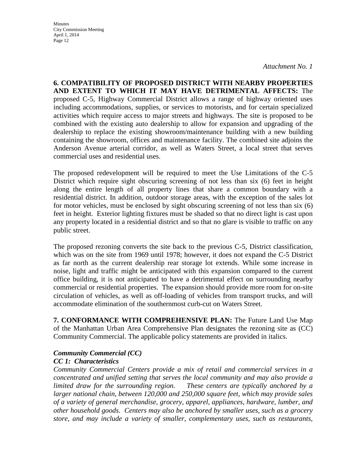*Attachment No. 1* 

**6. COMPATIBILITY OF PROPOSED DISTRICT WITH NEARBY PROPERTIES AND EXTENT TO WHICH IT MAY HAVE DETRIMENTAL AFFECTS:** The proposed C-5, Highway Commercial District allows a range of highway oriented uses including accommodations, supplies, or services to motorists, and for certain specialized activities which require access to major streets and highways. The site is proposed to be combined with the existing auto dealership to allow for expansion and upgrading of the dealership to replace the existing showroom/maintenance building with a new building containing the showroom, offices and maintenance facility. The combined site adjoins the Anderson Avenue arterial corridor, as well as Waters Street, a local street that serves commercial uses and residential uses.

The proposed redevelopment will be required to meet the Use Limitations of the C-5 District which require sight obscuring screening of not less than six (6) feet in height along the entire length of all property lines that share a common boundary with a residential district. In addition, outdoor storage areas, with the exception of the sales lot for motor vehicles, must be enclosed by sight obscuring screening of not less than six (6) feet in height. Exterior lighting fixtures must be shaded so that no direct light is cast upon any property located in a residential district and so that no glare is visible to traffic on any public street.

The proposed rezoning converts the site back to the previous C-5, District classification, which was on the site from 1969 until 1978; however, it does not expand the C-5 District as far north as the current dealership rear storage lot extends. While some increase in noise, light and traffic might be anticipated with this expansion compared to the current office building, it is not anticipated to have a detrimental effect on surrounding nearby commercial or residential properties. The expansion should provide more room for on-site circulation of vehicles, as well as off-loading of vehicles from transport trucks, and will accommodate elimination of the southernmost curb-cut on Waters Street.

**7. CONFORMANCE WITH COMPREHENSIVE PLAN:** The Future Land Use Map of the Manhattan Urban Area Comprehensive Plan designates the rezoning site as (CC) Community Commercial. The applicable policy statements are provided in italics.

#### *Community Commercial (CC)*

#### *CC 1: Characteristics*

*Community Commercial Centers provide a mix of retail and commercial services in a concentrated and unified setting that serves the local community and may also provide a limited draw for the surrounding region. These centers are typically anchored by a larger national chain, between 120,000 and 250,000 square feet, which may provide sales of a variety of general merchandise, grocery, apparel, appliances, hardware, lumber, and other household goods. Centers may also be anchored by smaller uses, such as a grocery store, and may include a variety of smaller, complementary uses, such as restaurants,*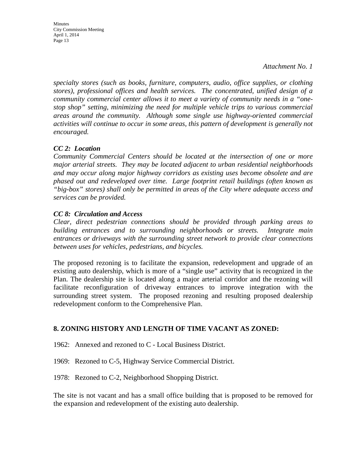Minutes City Commission Meeting April 1, 2014 Page 13

*specialty stores (such as books, furniture, computers, audio, office supplies, or clothing stores), professional offices and health services. The concentrated, unified design of a community commercial center allows it to meet a variety of community needs in a "onestop shop" setting, minimizing the need for multiple vehicle trips to various commercial areas around the community. Although some single use highway-oriented commercial*  activities will continue to occur in some areas, this pattern of development is generally not *encouraged.* 

## *CC 2: Location*

*Community Commercial Centers should be located at the intersection of one or more major arterial streets. They may be located adjacent to urban residential neighborhoods and may occur along major highway corridors as existing uses become obsolete and are phased out and redeveloped over time. Large footprint retail buildings (often known as "big-box" stores) shall only be permitted in areas of the City where adequate access and services can be provided.* 

## *CC 8: Circulation and Access*

*Clear, direct pedestrian connections should be provided through parking areas to building entrances and to surrounding neighborhoods or streets. Integrate main entrances or driveways with the surrounding street network to provide clear connections between uses for vehicles, pedestrians, and bicycles.* 

The proposed rezoning is to facilitate the expansion, redevelopment and upgrade of an existing auto dealership, which is more of a "single use" activity that is recognized in the Plan. The dealership site is located along a major arterial corridor and the rezoning will facilitate reconfiguration of driveway entrances to improve integration with the surrounding street system. The proposed rezoning and resulting proposed dealership redevelopment conform to the Comprehensive Plan.

## **8. ZONING HISTORY AND LENGTH OF TIME VACANT AS ZONED:**

1962: Annexed and rezoned to C - Local Business District.

1969: Rezoned to C-5, Highway Service Commercial District.

1978: Rezoned to C-2, Neighborhood Shopping District.

The site is not vacant and has a small office building that is proposed to be removed for the expansion and redevelopment of the existing auto dealership.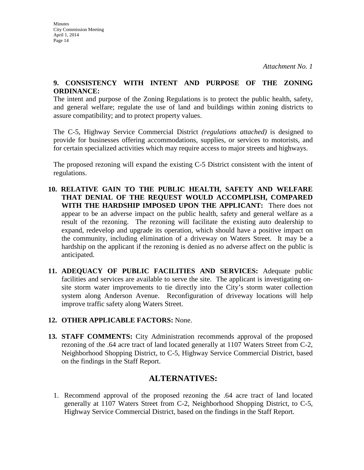#### **9. CONSISTENCY WITH INTENT AND PURPOSE OF THE ZONING ORDINANCE:**

The intent and purpose of the Zoning Regulations is to protect the public health, safety, and general welfare; regulate the use of land and buildings within zoning districts to assure compatibility; and to protect property values.

The C-5, Highway Service Commercial District *(regulations attached)* is designed to provide for businesses offering accommodations, supplies, or services to motorists, and for certain specialized activities which may require access to major streets and highways.

The proposed rezoning will expand the existing C-5 District consistent with the intent of regulations.

- **10. RELATIVE GAIN TO THE PUBLIC HEALTH, SAFETY AND WELFARE THAT DENIAL OF THE REQUEST WOULD ACCOMPLISH, COMPARED WITH THE HARDSHIP IMPOSED UPON THE APPLICANT:** There does not appear to be an adverse impact on the public health, safety and general welfare as a result of the rezoning. The rezoning will facilitate the existing auto dealership to expand, redevelop and upgrade its operation, which should have a positive impact on the community, including elimination of a driveway on Waters Street. It may be a hardship on the applicant if the rezoning is denied as no adverse affect on the public is anticipated.
- **11. ADEQUACY OF PUBLIC FACILITIES AND SERVICES:** Adequate public facilities and services are available to serve the site. The applicant is investigating onsite storm water improvements to tie directly into the City's storm water collection system along Anderson Avenue. Reconfiguration of driveway locations will help improve traffic safety along Waters Street.
- **12. OTHER APPLICABLE FACTORS:** None.
- **13. STAFF COMMENTS:** City Administration recommends approval of the proposed rezoning of the .64 acre tract of land located generally at 1107 Waters Street from C-2, Neighborhood Shopping District, to C-5, Highway Service Commercial District, based on the findings in the Staff Report.

# **ALTERNATIVES:**

1. Recommend approval of the proposed rezoning the .64 acre tract of land located generally at 1107 Waters Street from C-2, Neighborhood Shopping District, to C-5, Highway Service Commercial District, based on the findings in the Staff Report.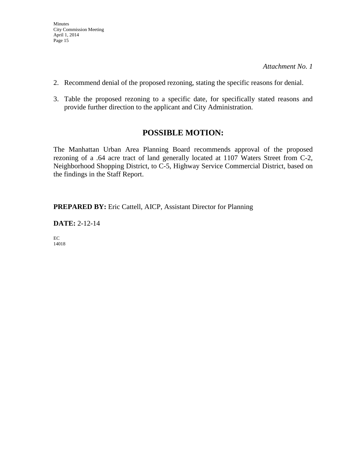- 2. Recommend denial of the proposed rezoning, stating the specific reasons for denial.
- 3. Table the proposed rezoning to a specific date, for specifically stated reasons and provide further direction to the applicant and City Administration.

## **POSSIBLE MOTION:**

The Manhattan Urban Area Planning Board recommends approval of the proposed rezoning of a .64 acre tract of land generally located at 1107 Waters Street from C-2, Neighborhood Shopping District, to C-5, Highway Service Commercial District, based on the findings in the Staff Report.

**PREPARED BY:** Eric Cattell, AICP, Assistant Director for Planning

**DATE:** 2-12-14

EC 14018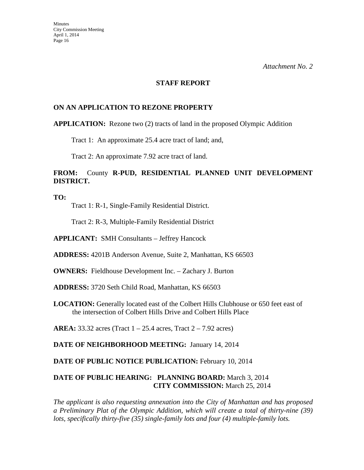#### **STAFF REPORT**

#### **ON AN APPLICATION TO REZONE PROPERTY**

#### **APPLICATION:** Rezone two (2) tracts of land in the proposed Olympic Addition

Tract 1: An approximate 25.4 acre tract of land; and,

Tract 2: An approximate 7.92 acre tract of land.

## **FROM:** County **R-PUD, RESIDENTIAL PLANNED UNIT DEVELOPMENT DISTRICT.**

**TO:** 

Tract 1: R-1, Single-Family Residential District.

Tract 2: R-3, Multiple-Family Residential District

**APPLICANT:** SMH Consultants – Jeffrey Hancock

**ADDRESS:** 4201B Anderson Avenue, Suite 2, Manhattan, KS 66503

**OWNERS:** Fieldhouse Development Inc. – Zachary J. Burton

**ADDRESS:** 3720 Seth Child Road, Manhattan, KS 66503

**LOCATION:** Generally located east of the Colbert Hills Clubhouse or 650 feet east of the intersection of Colbert Hills Drive and Colbert Hills Place

**AREA:** 33.32 acres (Tract 1 – 25.4 acres, Tract 2 – 7.92 acres)

**DATE OF NEIGHBORHOOD MEETING:** January 14, 2014

DATE OF PUBLIC NOTICE PUBLICATION: February 10, 2014

#### **DATE OF PUBLIC HEARING: PLANNING BOARD:** March 3, 2014 **CITY COMMISSION:** March 25, 2014

*The applicant is also requesting annexation into the City of Manhattan and has proposed a Preliminary Plat of the Olympic Addition, which will create a total of thirty-nine (39) lots, specifically thirty-five (35) single-family lots and four (4) multiple-family lots.*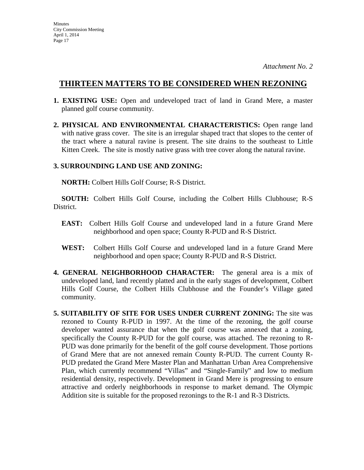- **1. EXISTING USE:** Open and undeveloped tract of land in Grand Mere, a master planned golf course community.
- **2. PHYSICAL AND ENVIRONMENTAL CHARACTERISTICS:** Open range land with native grass cover. The site is an irregular shaped tract that slopes to the center of the tract where a natural ravine is present. The site drains to the southeast to Little Kitten Creek. The site is mostly native grass with tree cover along the natural ravine.

#### **3. SURROUNDING LAND USE AND ZONING:**

 **NORTH:** Colbert Hills Golf Course; R-S District.

**SOUTH:** Colbert Hills Golf Course, including the Colbert Hills Clubhouse; R-S District.

- **EAST:** Colbert Hills Golf Course and undeveloped land in a future Grand Mere neighborhood and open space; County R-PUD and R-S District.
- **WEST:** Colbert Hills Golf Course and undeveloped land in a future Grand Mere neighborhood and open space; County R-PUD and R-S District.
- **4. GENERAL NEIGHBORHOOD CHARACTER:** The general area is a mix of undeveloped land, land recently platted and in the early stages of development, Colbert Hills Golf Course, the Colbert Hills Clubhouse and the Founder's Village gated community.
- **5. SUITABILITY OF SITE FOR USES UNDER CURRENT ZONING:** The site was rezoned to County R-PUD in 1997. At the time of the rezoning, the golf course developer wanted assurance that when the golf course was annexed that a zoning, specifically the County R-PUD for the golf course, was attached. The rezoning to R-PUD was done primarily for the benefit of the golf course development. Those portions of Grand Mere that are not annexed remain County R-PUD. The current County R-PUD predated the Grand Mere Master Plan and Manhattan Urban Area Comprehensive Plan, which currently recommend "Villas" and "Single-Family" and low to medium residential density, respectively. Development in Grand Mere is progressing to ensure attractive and orderly neighborhoods in response to market demand. The Olympic Addition site is suitable for the proposed rezonings to the R-1 and R-3 Districts.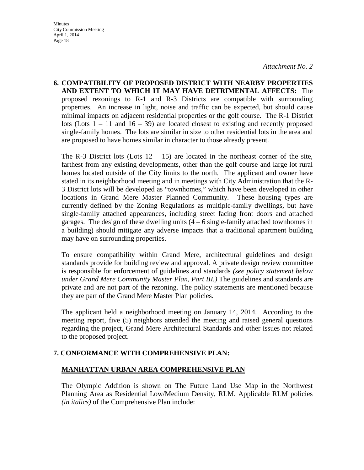**6. COMPATIBILITY OF PROPOSED DISTRICT WITH NEARBY PROPERTIES AND EXTENT TO WHICH IT MAY HAVE DETRIMENTAL AFFECTS:** The proposed rezonings to R-1 and R-3 Districts are compatible with surrounding properties. An increase in light, noise and traffic can be expected, but should cause minimal impacts on adjacent residential properties or the golf course. The R-1 District lots (Lots  $1 - 11$  and  $16 - 39$ ) are located closest to existing and recently proposed single-family homes. The lots are similar in size to other residential lots in the area and are proposed to have homes similar in character to those already present.

The R-3 District lots (Lots  $12 - 15$ ) are located in the northeast corner of the site, farthest from any existing developments, other than the golf course and large lot rural homes located outside of the City limits to the north. The applicant and owner have stated in its neighborhood meeting and in meetings with City Administration that the R-3 District lots will be developed as "townhomes," which have been developed in other locations in Grand Mere Master Planned Community. These housing types are currently defined by the Zoning Regulations as multiple-family dwellings, but have single-family attached appearances, including street facing front doors and attached garages. The design of these dwelling units  $(4 - 6$  single-family attached townhomes in a building) should mitigate any adverse impacts that a traditional apartment building may have on surrounding properties.

To ensure compatibility within Grand Mere, architectural guidelines and design standards provide for building review and approval. A private design review committee is responsible for enforcement of guidelines and standards *(see policy statement below under Grand Mere Community Master Plan, Part III.)* The guidelines and standards are private and are not part of the rezoning. The policy statements are mentioned because they are part of the Grand Mere Master Plan policies.

The applicant held a neighborhood meeting on January 14, 2014. According to the meeting report, five (5) neighbors attended the meeting and raised general questions regarding the project, Grand Mere Architectural Standards and other issues not related to the proposed project.

## **7. CONFORMANCE WITH COMPREHENSIVE PLAN:**

## **MANHATTAN URBAN AREA COMPREHENSIVE PLAN**

The Olympic Addition is shown on The Future Land Use Map in the Northwest Planning Area as Residential Low/Medium Density, RLM. Applicable RLM policies *(in italics)* of the Comprehensive Plan include: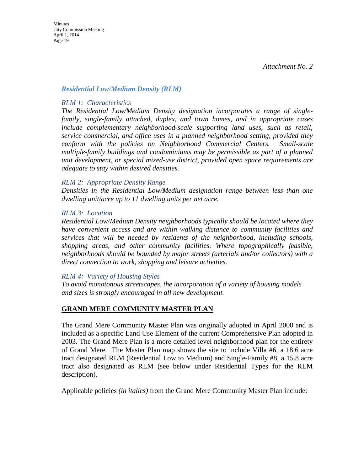#### *Residential Low/Medium Density (RLM)*

#### *RLM 1: Characteristics*

*The Residential Low/Medium Density designation incorporates a range of singlefamily, single-family attached, duplex, and town homes, and in appropriate cases include complementary neighborhood-scale supporting land uses, such as retail, service commercial, and office uses in a planned neighborhood setting, provided they conform with the policies on Neighborhood Commercial Centers. Small-scale multiple-family buildings and condominiums may be permissible as part of a planned unit development, or special mixed-use district, provided open space requirements are adequate to stay within desired densities.* 

#### *RLM 2: Appropriate Density Range*

*Densities in the Residential Low/Medium designation range between less than one dwelling unit/acre up to 11 dwelling units per net acre.* 

#### *RLM 3: Location*

*Residential Low/Medium Density neighborhoods typically should be located where they have convenient access and are within walking distance to community facilities and services that will be needed by residents of the neighborhood, including schools, shopping areas, and other community facilities. Where topographically feasible, neighborhoods should be bounded by major streets (arterials and/or collectors) with a direct connection to work, shopping and leisure activities.* 

#### *RLM 4: Variety of Housing Styles*

*To avoid monotonous streetscapes, the incorporation of a variety of housing models and sizes is strongly encouraged in all new development.* 

## **GRAND MERE COMMUNITY MASTER PLAN**

The Grand Mere Community Master Plan was originally adopted in April 2000 and is included as a specific Land Use Element of the current Comprehensive Plan adopted in 2003. The Grand Mere Plan is a more detailed level neighborhood plan for the entirety of Grand Mere. The Master Plan map shows the site to include Villa #6, a 18.6 acre tract designated RLM (Residential Low to Medium) and Single-Family #8, a 15.8 acre tract also designated as RLM (see below under Residential Types for the RLM description).

Applicable policies *(in italics)* from the Grand Mere Community Master Plan include: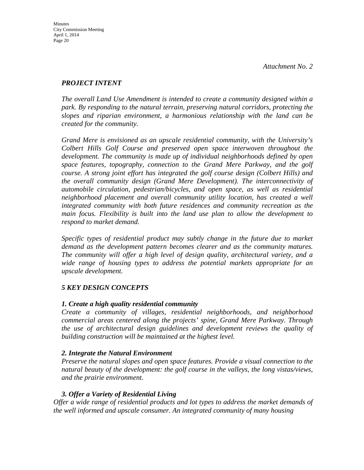## *PROJECT INTENT*

*The overall Land Use Amendment is intended to create a community designed within a park. By responding to the natural terrain, preserving natural corridors, protecting the slopes and riparian environment, a harmonious relationship with the land can be created for the community.* 

*Grand Mere is envisioned as an upscale residential community, with the University's Colbert Hills Golf Course and preserved open space interwoven throughout the development. The community is made up of individual neighborhoods defined by open space features, topography, connection to the Grand Mere Parkway, and the golf course. A strong joint effort has integrated the golf course design (Colbert Hills) and the overall community design (Grand Mere Development). The interconnectivity of automobile circulation, pedestrian/bicycles, and open space, as well as residential neighborhood placement and overall community utility location, has created a well integrated community with both future residences and community recreation as the main focus. Flexibility is built into the land use plan to allow the development to respond to market demand.* 

*Specific types of residential product may subtly change in the future due to market demand as the development pattern becomes clearer and as the community matures. The community will offer a high level of design quality, architectural variety, and a wide range of housing types to address the potential markets appropriate for an upscale development.* 

## *5 KEY DESIGN CONCEPTS*

## *1. Create a high quality residential community*

*Create a community of villages, residential neighborhoods, and neighborhood commercial areas centered along the projects' spine, Grand Mere Parkway. Through the use of architectural design guidelines and development reviews the quality of building construction will be maintained at the highest level.* 

## *2. Integrate the Natural Environment*

*Preserve the natural slopes and open space features. Provide a visual connection to the natural beauty of the development: the golf course in the valleys, the long vistas/views, and the prairie environment.* 

## *3. Offer a Variety of Residential Living*

*Offer a wide range of residential products and lot types to address the market demands of the well informed and upscale consumer. An integrated community of many housing*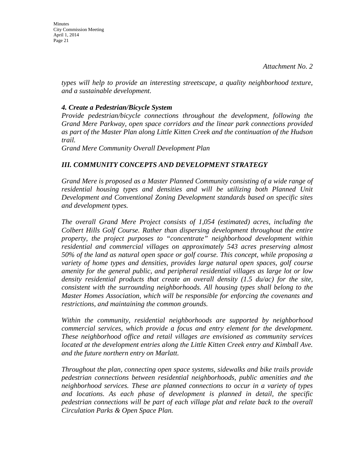*types will help to provide an interesting streetscape, a quality neighborhood texture, and a sustainable development.* 

#### *4. Create a Pedestrian/Bicycle System*

*Provide pedestrian/bicycle connections throughout the development, following the Grand Mere Parkway, open space corridors and the linear park connections provided as part of the Master Plan along Little Kitten Creek and the continuation of the Hudson trail.*

*Grand Mere Community Overall Development Plan* 

## *III. COMMUNITY CONCEPTS AND DEVELOPMENT STRATEGY*

*Grand Mere is proposed as a Master Planned Community consisting of a wide range of residential housing types and densities and will be utilizing both Planned Unit Development and Conventional Zoning Development standards based on specific sites and development types.* 

*The overall Grand Mere Project consists of 1,054 (estimated) acres, including the Colbert Hills Golf Course. Rather than dispersing development throughout the entire property, the project purposes to "concentrate" neighborhood development within residential and commercial villages on approximately 543 acres preserving almost 50% of the land as natural open space or golf course. This concept, while proposing a variety of home types and densities, provides large natural open spaces, golf course amenity for the general public, and peripheral residential villages as large lot or low density residential products that create an overall density (1.5 du/ac) for the site, consistent with the surrounding neighborhoods. All housing types shall belong to the Master Homes Association, which will be responsible for enforcing the covenants and restrictions, and maintaining the common grounds.* 

*Within the community, residential neighborhoods are supported by neighborhood commercial services, which provide a focus and entry element for the development. These neighborhood office and retail villages are envisioned as community services located at the development entries along the Little Kitten Creek entry and Kimball Ave. and the future northern entry on Marlatt.* 

*Throughout the plan, connecting open space systems, sidewalks and bike trails provide pedestrian connections between residential neighborhoods, public amenities and the neighborhood services. These are planned connections to occur in a variety of types and locations. As each phase of development is planned in detail, the specific pedestrian connections will be part of each village plat and relate back to the overall Circulation Parks & Open Space Plan.*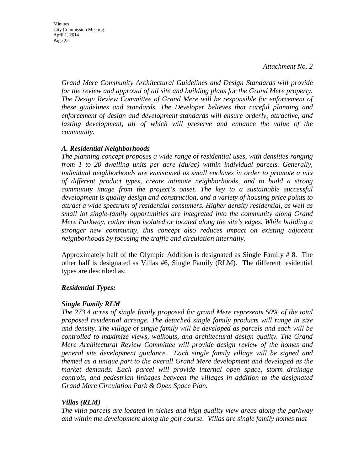Minutes City Commission Meeting April 1, 2014 Page 22

> *Grand Mere Community Architectural Guidelines and Design Standards will provide for the review and approval of all site and building plans for the Grand Mere property. The Design Review Committee of Grand Mere will be responsible for enforcement of these guidelines and standards. The Developer believes that careful planning and enforcement of design and development standards will ensure orderly, attractive, and*  lasting development, all of which will preserve and enhance the value of the *community.*

#### *A. Residential Neighborhoods*

*The planning concept proposes a wide range of residential uses, with densities ranging from 1 to 20 dwelling units per acre (du/ac) within individual parcels. Generally, individual neighborhoods are envisioned as small enclaves in order to promote a mix of different product types, create intimate neighborhoods, and to build a strong community image from the project's onset. The key to a sustainable successful development is quality design and construction, and a variety of housing price points to attract a wide spectrum of residential consumers. Higher density residential, as well as small lot single-family opportunities are integrated into the community along Grand Mere Parkway, rather than isolated or located along the site's edges. While building a stronger new community, this concept also reduces impact on existing adjacent neighborhoods by focusing the traffic and circulation internally.* 

Approximately half of the Olympic Addition is designated as Single Family # 8. The other half is designated as Villas #6, Single Family (RLM). The different residential types are described as:

#### *Residential Types:*

#### *Single Family RLM*

*The 273.4 acres of single family proposed for grand Mere represents 50% of the total proposed residential acreage. The detached single family products will range in size and density. The village of single family will be developed as parcels and each will be controlled to maximize views, walkouts, and architectural design quality. The Grand Mere Architectural Review Committee will provide design review of the homes and general site development guidance. Each single family village will be signed and themed as a unique part to the overall Grand Mere development and developed as the market demands. Each parcel will provide internal open space, storm drainage controls, and pedestrian linkages between the villages in addition to the designated Grand Mere Circulation Park & Open Space Plan.* 

#### *Villas (RLM)*

*The villa parcels are located in niches and high quality view areas along the parkway and within the development along the golf course. Villas are single family homes that*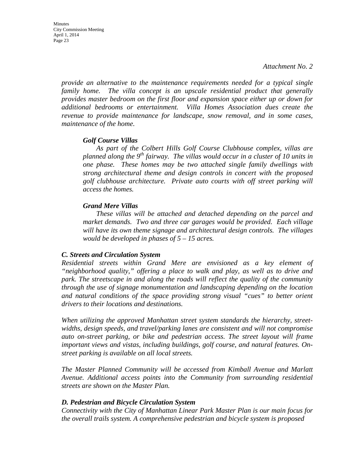*provide an alternative to the maintenance requirements needed for a typical single family home. The villa concept is an upscale residential product that generally provides master bedroom on the first floor and expansion space either up or down for additional bedrooms or entertainment. Villa Homes Association dues create the revenue to provide maintenance for landscape, snow removal, and in some cases, maintenance of the home.* 

#### *Golf Course Villas*

*As part of the Colbert Hills Golf Course Clubhouse complex, villas are planned along the 9th fairway. The villas would occur in a cluster of 10 units in one phase. These homes may be two attached single family dwellings with strong architectural theme and design controls in concert with the proposed golf clubhouse architecture. Private auto courts with off street parking will access the homes.*

#### *Grand Mere Villas*

*These villas will be attached and detached depending on the parcel and market demands. Two and three car garages would be provided. Each village will have its own theme signage and architectural design controls. The villages would be developed in phases of 5 – 15 acres.* 

#### *C. Streets and Circulation System*

*Residential streets within Grand Mere are envisioned as a key element of "neighborhood quality," offering a place to walk and play, as well as to drive and park. The streetscape in and along the roads will reflect the quality of the community through the use of signage monumentation and landscaping depending on the location and natural conditions of the space providing strong visual "cues" to better orient drivers to their locations and destinations.* 

*When utilizing the approved Manhattan street system standards the hierarchy, streetwidths, design speeds, and travel/parking lanes are consistent and will not compromise auto on-street parking, or bike and pedestrian access. The street layout will frame important views and vistas, including buildings, golf course, and natural features. Onstreet parking is available on all local streets.* 

*The Master Planned Community will be accessed from Kimball Avenue and Marlatt Avenue. Additional access points into the Community from surrounding residential streets are shown on the Master Plan.* 

#### *D. Pedestrian and Bicycle Circulation System*

*Connectivity with the City of Manhattan Linear Park Master Plan is our main focus for the overall trails system. A comprehensive pedestrian and bicycle system is proposed*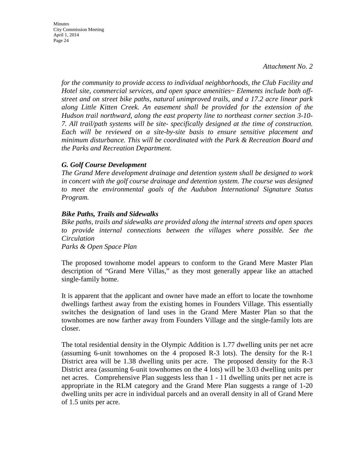**Minutes** City Commission Meeting April 1, 2014 Page 24

> *for the community to provide access to individual neighborhoods, the Club Facility and Hotel site, commercial services, and open space amenities~ Elements include both offstreet and on street bike paths, natural unimproved trails, and a 17.2 acre linear park along Little Kitten Creek. An easement shall be provided for the extension of the Hudson trail northward, along the east property line to northeast corner section 3-10- 7. All trail/path systems will be site- specifically designed at the time of construction. Each will be reviewed on a site-by-site basis to ensure sensitive placement and minimum disturbance. This will be coordinated with the Park & Recreation Board and the Parks and Recreation Department.*

#### *G. Golf Course Development*

*The Grand Mere development drainage and detention system shall be designed to work in concert with the golf course drainage and detention system. The course was designed to meet the environmental goals of the Audubon International Signature Status Program.* 

#### *Bike Paths, Trails and Sidewalks*

*Bike paths, trails and sidewalks are provided along the internal streets and open spaces to provide internal connections between the villages where possible. See the Circulation*

*Parks & Open Space Plan* 

The proposed townhome model appears to conform to the Grand Mere Master Plan description of "Grand Mere Villas," as they most generally appear like an attached single-family home.

It is apparent that the applicant and owner have made an effort to locate the townhome dwellings farthest away from the existing homes in Founders Village. This essentially switches the designation of land uses in the Grand Mere Master Plan so that the townhomes are now farther away from Founders Village and the single-family lots are closer.

The total residential density in the Olympic Addition is 1.77 dwelling units per net acre (assuming 6-unit townhomes on the 4 proposed R-3 lots). The density for the R-1 District area will be 1.38 dwelling units per acre. The proposed density for the R-3 District area (assuming 6-unit townhomes on the 4 lots) will be 3.03 dwelling units per net acres. Comprehensive Plan suggests less than 1 - 11 dwelling units per net acre is appropriate in the RLM category and the Grand Mere Plan suggests a range of 1-20 dwelling units per acre in individual parcels and an overall density in all of Grand Mere of 1.5 units per acre.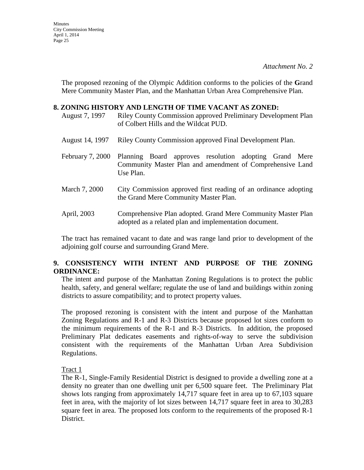**Minutes** City Commission Meeting April 1, 2014 Page 25

> The proposed rezoning of the Olympic Addition conforms to the policies of the **G**rand Mere Community Master Plan, and the Manhattan Urban Area Comprehensive Plan.

#### **8. ZONING HISTORY AND LENGTH OF TIME VACANT AS ZONED:**

August 7, 1997 Riley County Commission approved Preliminary Development Plan of Colbert Hills and the Wildcat PUD.

- August 14, 1997 Riley County Commission approved Final Development Plan.
- February 7, 2000 Planning Board approves resolution adopting Grand Mere Community Master Plan and amendment of Comprehensive Land Use Plan.
- March 7, 2000 City Commission approved first reading of an ordinance adopting the Grand Mere Community Master Plan.
- April, 2003 Comprehensive Plan adopted. Grand Mere Community Master Plan adopted as a related plan and implementation document.

The tract has remained vacant to date and was range land prior to development of the adjoining golf course and surrounding Grand Mere.

## **9. CONSISTENCY WITH INTENT AND PURPOSE OF THE ZONING ORDINANCE:**

The intent and purpose of the Manhattan Zoning Regulations is to protect the public health, safety, and general welfare; regulate the use of land and buildings within zoning districts to assure compatibility; and to protect property values.

The proposed rezoning is consistent with the intent and purpose of the Manhattan Zoning Regulations and R-1 and R-3 Districts because proposed lot sizes conform to the minimum requirements of the R-1 and R-3 Districts. In addition, the proposed Preliminary Plat dedicates easements and rights-of-way to serve the subdivision consistent with the requirements of the Manhattan Urban Area Subdivision Regulations.

Tract 1

The R-1, Single-Family Residential District is designed to provide a dwelling zone at a density no greater than one dwelling unit per 6,500 square feet. The Preliminary Plat shows lots ranging from approximately 14,717 square feet in area up to 67,103 square feet in area, with the majority of lot sizes between 14,717 square feet in area to 30,283 square feet in area. The proposed lots conform to the requirements of the proposed R-1 District.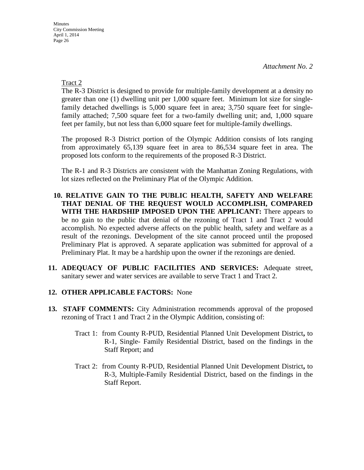Tract 2

The R-3 District is designed to provide for multiple-family development at a density no greater than one (1) dwelling unit per 1,000 square feet. Minimum lot size for singlefamily detached dwellings is 5,000 square feet in area; 3,750 square feet for singlefamily attached; 7,500 square feet for a two-family dwelling unit; and, 1,000 square feet per family, but not less than 6,000 square feet for multiple-family dwellings.

The proposed R-3 District portion of the Olympic Addition consists of lots ranging from approximately 65,139 square feet in area to 86,534 square feet in area. The proposed lots conform to the requirements of the proposed R-3 District.

The R-1 and R-3 Districts are consistent with the Manhattan Zoning Regulations, with lot sizes reflected on the Preliminary Plat of the Olympic Addition.

- **10. RELATIVE GAIN TO THE PUBLIC HEALTH, SAFETY AND WELFARE THAT DENIAL OF THE REQUEST WOULD ACCOMPLISH, COMPARED WITH THE HARDSHIP IMPOSED UPON THE APPLICANT:** There appears to be no gain to the public that denial of the rezoning of Tract 1 and Tract 2 would accomplish. No expected adverse affects on the public health, safety and welfare as a result of the rezonings. Development of the site cannot proceed until the proposed Preliminary Plat is approved. A separate application was submitted for approval of a Preliminary Plat. It may be a hardship upon the owner if the rezonings are denied.
- **11. ADEQUACY OF PUBLIC FACILITIES AND SERVICES:** Adequate street, sanitary sewer and water services are available to serve Tract 1 and Tract 2.
- **12. OTHER APPLICABLE FACTORS:** None
- **13. STAFF COMMENTS:** City Administration recommends approval of the proposed rezoning of Tract 1 and Tract 2 in the Olympic Addition, consisting of:
	- Tract 1: from County R-PUD, Residential Planned Unit Development District**,** to R-1, Single- Family Residential District, based on the findings in the Staff Report; and
	- Tract 2: from County R-PUD, Residential Planned Unit Development District**,** to R-3, Multiple-Family Residential District, based on the findings in the Staff Report.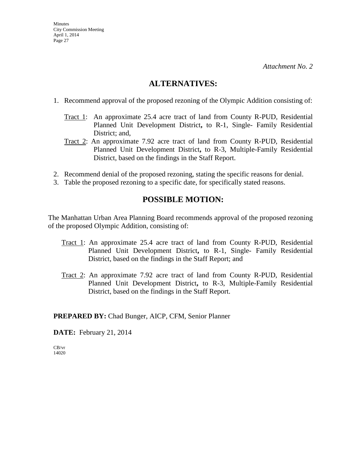## **ALTERNATIVES:**

- 1. Recommend approval of the proposed rezoning of the Olympic Addition consisting of:
	- Tract 1: An approximate 25.4 acre tract of land from County R-PUD, Residential Planned Unit Development District**,** to R-1, Single- Family Residential District; and,
	- Tract 2: An approximate 7.92 acre tract of land from County R-PUD, Residential Planned Unit Development District**,** to R-3, Multiple-Family Residential District, based on the findings in the Staff Report.
- 2. Recommend denial of the proposed rezoning, stating the specific reasons for denial.
- 3. Table the proposed rezoning to a specific date, for specifically stated reasons.

## **POSSIBLE MOTION:**

The Manhattan Urban Area Planning Board recommends approval of the proposed rezoning of the proposed Olympic Addition, consisting of:

- Tract 1: An approximate 25.4 acre tract of land from County R-PUD, Residential Planned Unit Development District**,** to R-1, Single- Family Residential District, based on the findings in the Staff Report; and
- Tract 2: An approximate 7.92 acre tract of land from County R-PUD, Residential Planned Unit Development District**,** to R-3, Multiple-Family Residential District, based on the findings in the Staff Report.

**PREPARED BY:** Chad Bunger, AICP, CFM, Senior Planner

**DATE:** February 21, 2014

CB/vr 14020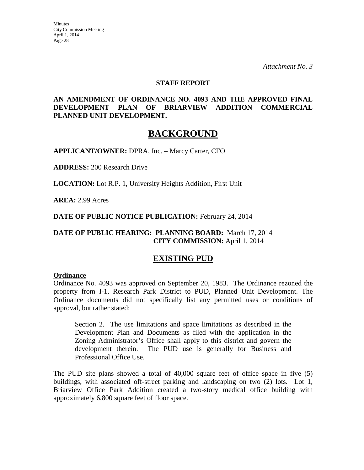#### **STAFF REPORT**

#### **AN AMENDMENT OF ORDINANCE NO. 4093 AND THE APPROVED FINAL DEVELOPMENT PLAN OF BRIARVIEW ADDITION COMMERCIAL PLANNED UNIT DEVELOPMENT.**

## **BACKGROUND**

**APPLICANT/OWNER:** DPRA, Inc. – Marcy Carter, CFO

**ADDRESS:** 200 Research Drive

**LOCATION:** Lot R.P. 1, University Heights Addition, First Unit

**AREA:** 2.99 Acres

**DATE OF PUBLIC NOTICE PUBLICATION:** February 24, 2014

## **DATE OF PUBLIC HEARING: PLANNING BOARD:** March 17, 2014 **CITY COMMISSION:** April 1, 2014

## **EXISTING PUD**

#### **Ordinance**

Ordinance No. 4093 was approved on September 20, 1983. The Ordinance rezoned the property from I-1, Research Park District to PUD, Planned Unit Development. The Ordinance documents did not specifically list any permitted uses or conditions of approval, but rather stated:

Section 2. The use limitations and space limitations as described in the Development Plan and Documents as filed with the application in the Zoning Administrator's Office shall apply to this district and govern the development therein. The PUD use is generally for Business and Professional Office Use.

The PUD site plans showed a total of 40,000 square feet of office space in five (5) buildings, with associated off-street parking and landscaping on two (2) lots. Lot 1, Briarview Office Park Addition created a two-story medical office building with approximately 6,800 square feet of floor space.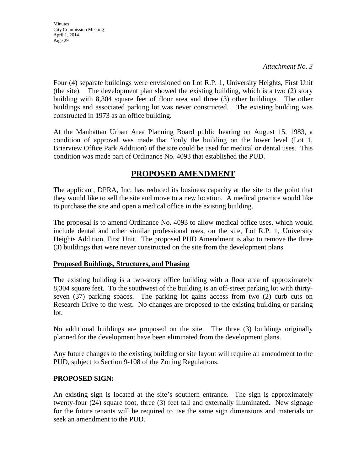*Attachment No. 3* 

Four (4) separate buildings were envisioned on Lot R.P. 1, University Heights, First Unit (the site). The development plan showed the existing building, which is a two (2) story building with 8,304 square feet of floor area and three (3) other buildings. The other buildings and associated parking lot was never constructed. The existing building was constructed in 1973 as an office building.

At the Manhattan Urban Area Planning Board public hearing on August 15, 1983, a condition of approval was made that "only the building on the lower level (Lot 1, Briarview Office Park Addition) of the site could be used for medical or dental uses. This condition was made part of Ordinance No. 4093 that established the PUD.

## **PROPOSED AMENDMENT**

The applicant, DPRA, Inc. has reduced its business capacity at the site to the point that they would like to sell the site and move to a new location. A medical practice would like to purchase the site and open a medical office in the existing building.

The proposal is to amend Ordinance No. 4093 to allow medical office uses, which would include dental and other similar professional uses, on the site, Lot R.P. 1, University Heights Addition, First Unit. The proposed PUD Amendment is also to remove the three (3) buildings that were never constructed on the site from the development plans.

## **Proposed Buildings, Structures, and Phasing**

The existing building is a two-story office building with a floor area of approximately 8,304 square feet. To the southwest of the building is an off-street parking lot with thirtyseven (37) parking spaces. The parking lot gains access from two (2) curb cuts on Research Drive to the west. No changes are proposed to the existing building or parking lot.

No additional buildings are proposed on the site. The three (3) buildings originally planned for the development have been eliminated from the development plans.

Any future changes to the existing building or site layout will require an amendment to the PUD, subject to Section 9-108 of the Zoning Regulations.

## **PROPOSED SIGN:**

An existing sign is located at the site's southern entrance. The sign is approximately twenty-four (24) square foot, three (3) feet tall and externally illuminated. New signage for the future tenants will be required to use the same sign dimensions and materials or seek an amendment to the PUD.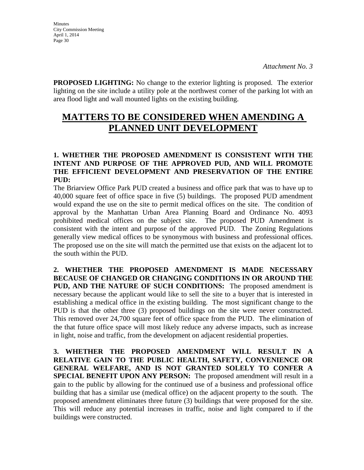**PROPOSED LIGHTING:** No change to the exterior lighting is proposed. The exterior lighting on the site include a utility pole at the northwest corner of the parking lot with an area flood light and wall mounted lights on the existing building.

# **MATTERS TO BE CONSIDERED WHEN AMENDING A PLANNED UNIT DEVELOPMENT**

## **1. WHETHER THE PROPOSED AMENDMENT IS CONSISTENT WITH THE INTENT AND PURPOSE OF THE APPROVED PUD, AND WILL PROMOTE THE EFFICIENT DEVELOPMENT AND PRESERVATION OF THE ENTIRE PUD:**

The Briarview Office Park PUD created a business and office park that was to have up to 40,000 square feet of office space in five (5) buildings. The proposed PUD amendment would expand the use on the site to permit medical offices on the site. The condition of approval by the Manhattan Urban Area Planning Board and Ordinance No. 4093 prohibited medical offices on the subject site. The proposed PUD Amendment is consistent with the intent and purpose of the approved PUD. The Zoning Regulations generally view medical offices to be synonymous with business and professional offices. The proposed use on the site will match the permitted use that exists on the adjacent lot to the south within the PUD.

**2. WHETHER THE PROPOSED AMENDMENT IS MADE NECESSARY BECAUSE OF CHANGED OR CHANGING CONDITIONS IN OR AROUND THE PUD, AND THE NATURE OF SUCH CONDITIONS:** The proposed amendment is necessary because the applicant would like to sell the site to a buyer that is interested in establishing a medical office in the existing building. The most significant change to the PUD is that the other three (3) proposed buildings on the site were never constructed. This removed over 24,700 square feet of office space from the PUD. The elimination of the that future office space will most likely reduce any adverse impacts, such as increase in light, noise and traffic, from the development on adjacent residential properties.

**3. WHETHER THE PROPOSED AMENDMENT WILL RESULT IN A RELATIVE GAIN TO THE PUBLIC HEALTH, SAFETY, CONVENIENCE OR GENERAL WELFARE, AND IS NOT GRANTED SOLELY TO CONFER A SPECIAL BENEFIT UPON ANY PERSON:** The proposed amendment will result in a gain to the public by allowing for the continued use of a business and professional office building that has a similar use (medical office) on the adjacent property to the south. The proposed amendment eliminates three future (3) buildings that were proposed for the site. This will reduce any potential increases in traffic, noise and light compared to if the buildings were constructed.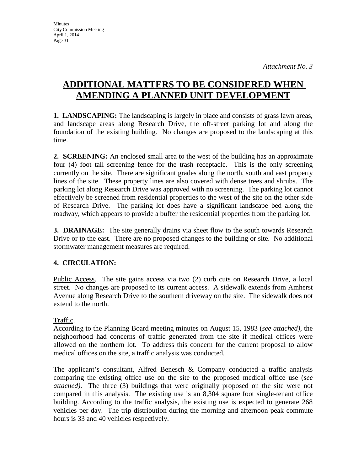# **ADDITIONAL MATTERS TO BE CONSIDERED WHEN AMENDING A PLANNED UNIT DEVELOPMENT**

**1. LANDSCAPING:** The landscaping is largely in place and consists of grass lawn areas, and landscape areas along Research Drive, the off-street parking lot and along the foundation of the existing building. No changes are proposed to the landscaping at this time.

**2. SCREENING:** An enclosed small area to the west of the building has an approximate four (4) foot tall screening fence for the trash receptacle. This is the only screening currently on the site. There are significant grades along the north, south and east property lines of the site. These property lines are also covered with dense trees and shrubs. The parking lot along Research Drive was approved with no screening. The parking lot cannot effectively be screened from residential properties to the west of the site on the other side of Research Drive. The parking lot does have a significant landscape bed along the roadway, which appears to provide a buffer the residential properties from the parking lot.

**3. DRAINAGE:** The site generally drains via sheet flow to the south towards Research Drive or to the east. There are no proposed changes to the building or site. No additional stormwater management measures are required.

## **4. CIRCULATION:**

Public Access. The site gains access via two (2) curb cuts on Research Drive, a local street. No changes are proposed to its current access. A sidewalk extends from Amherst Avenue along Research Drive to the southern driveway on the site. The sidewalk does not extend to the north.

## Traffic.

According to the Planning Board meeting minutes on August 15, 1983 (*see attached)*, the neighborhood had concerns of traffic generated from the site if medical offices were allowed on the northern lot. To address this concern for the current proposal to allow medical offices on the site, a traffic analysis was conducted.

The applicant's consultant, Alfred Benesch & Company conducted a traffic analysis comparing the existing office use on the site to the proposed medical office use (*see attached)*. The three (3) buildings that were originally proposed on the site were not compared in this analysis. The existing use is an 8,304 square foot single-tenant office building. According to the traffic analysis, the existing use is expected to generate 268 vehicles per day. The trip distribution during the morning and afternoon peak commute hours is 33 and 40 vehicles respectively.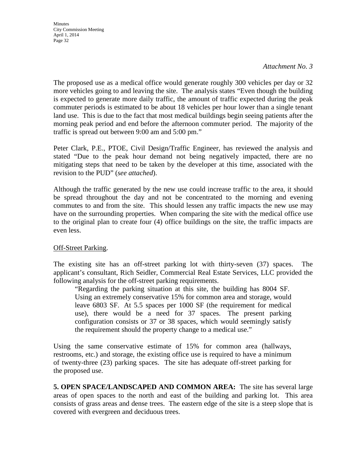*Attachment No. 3* 

The proposed use as a medical office would generate roughly 300 vehicles per day or 32 more vehicles going to and leaving the site. The analysis states "Even though the building is expected to generate more daily traffic, the amount of traffic expected during the peak commuter periods is estimated to be about 18 vehicles per hour lower than a single tenant land use. This is due to the fact that most medical buildings begin seeing patients after the morning peak period and end before the afternoon commuter period. The majority of the traffic is spread out between 9:00 am and 5:00 pm."

Peter Clark, P.E., PTOE, Civil Design/Traffic Engineer, has reviewed the analysis and stated "Due to the peak hour demand not being negatively impacted, there are no mitigating steps that need to be taken by the developer at this time, associated with the revision to the PUD" (*see attached*).

Although the traffic generated by the new use could increase traffic to the area, it should be spread throughout the day and not be concentrated to the morning and evening commutes to and from the site. This should lessen any traffic impacts the new use may have on the surrounding properties. When comparing the site with the medical office use to the original plan to create four (4) office buildings on the site, the traffic impacts are even less.

#### Off-Street Parking.

The existing site has an off-street parking lot with thirty-seven (37) spaces. The applicant's consultant, Rich Seidler, Commercial Real Estate Services, LLC provided the following analysis for the off-street parking requirements.

"Regarding the parking situation at this site, the building has 8004 SF. Using an extremely conservative 15% for common area and storage, would leave 6803 SF. At 5.5 spaces per 1000 SF (the requirement for medical use), there would be a need for 37 spaces. The present parking configuration consists or 37 or 38 spaces, which would seemingly satisfy the requirement should the property change to a medical use."

Using the same conservative estimate of 15% for common area (hallways, restrooms, etc.) and storage, the existing office use is required to have a minimum of twenty-three (23) parking spaces. The site has adequate off-street parking for the proposed use.

**5. OPEN SPACE/LANDSCAPED AND COMMON AREA:** The site has several large areas of open spaces to the north and east of the building and parking lot. This area consists of grass areas and dense trees. The eastern edge of the site is a steep slope that is covered with evergreen and deciduous trees.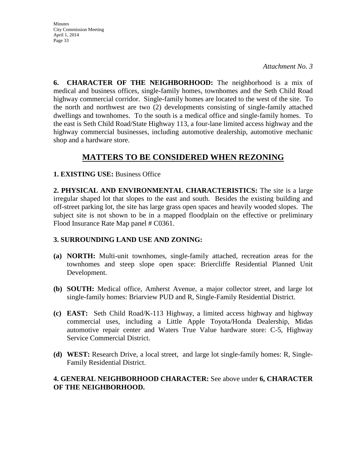*Attachment No. 3* 

**6. CHARACTER OF THE NEIGHBORHOOD:** The neighborhood is a mix of medical and business offices, single-family homes, townhomes and the Seth Child Road highway commercial corridor. Single-family homes are located to the west of the site. To the north and northwest are two (2) developments consisting of single-family attached dwellings and townhomes. To the south is a medical office and single-family homes. To the east is Seth Child Road/State Highway 113, a four-lane limited access highway and the highway commercial businesses, including automotive dealership, automotive mechanic shop and a hardware store.

## **MATTERS TO BE CONSIDERED WHEN REZONING**

#### **1. EXISTING USE:** Business Office

**2. PHYSICAL AND ENVIRONMENTAL CHARACTERISTICS:** The site is a large irregular shaped lot that slopes to the east and south. Besides the existing building and off-street parking lot, the site has large grass open spaces and heavily wooded slopes. The subject site is not shown to be in a mapped floodplain on the effective or preliminary Flood Insurance Rate Map panel # C0361.

## **3. SURROUNDING LAND USE AND ZONING:**

- **(a) NORTH:** Multi-unit townhomes, single-family attached, recreation areas for the townhomes and steep slope open space: Briercliffe Residential Planned Unit Development.
- **(b) SOUTH:** Medical office, Amherst Avenue, a major collector street, and large lot single-family homes: Briarview PUD and R, Single-Family Residential District.
- **(c) EAST:** Seth Child Road/K-113 Highway, a limited access highway and highway commercial uses, including a Little Apple Toyota/Honda Dealership, Midas automotive repair center and Waters True Value hardware store: C-5, Highway Service Commercial District.
- **(d) WEST:** Research Drive, a local street, and large lot single-family homes: R, Single-Family Residential District.

#### **4. GENERAL NEIGHBORHOOD CHARACTER:** See above under **6, CHARACTER OF THE NEIGHBORHOOD.**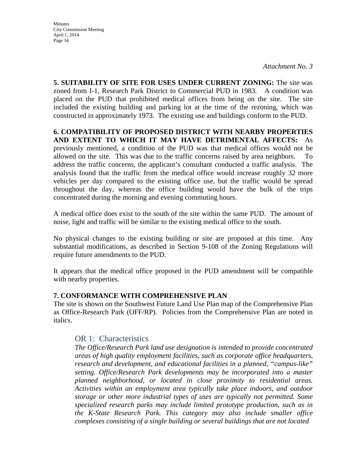*Attachment No. 3* 

**5. SUITABILITY OF SITE FOR USES UNDER CURRENT ZONING:** The site was zoned from I-1, Research Park District to Commercial PUD in 1983. A condition was placed on the PUD that prohibited medical offices from being on the site. The site included the existing building and parking lot at the time of the rezoning, which was constructed in approximately 1973. The existing use and buildings conform to the PUD.

**6. COMPATIBILITY OF PROPOSED DISTRICT WITH NEARBY PROPERTIES AND EXTENT TO WHICH IT MAY HAVE DETRIMENTAL AFFECTS:** As previously mentioned, a condition of the PUD was that medical offices would not be allowed on the site. This was due to the traffic concerns raised by area neighbors. To address the traffic concerns, the applicant's consultant conducted a traffic analysis. The analysis found that the traffic from the medical office would increase roughly 32 more vehicles per day compared to the existing office use, but the traffic would be spread throughout the day, whereas the office building would have the bulk of the trips concentrated during the morning and evening commuting hours.

A medical office does exist to the south of the site within the same PUD. The amount of noise, light and traffic will be similar to the existing medical office to the south.

No physical changes to the existing building or site are proposed at this time. Any substantial modifications, as described in Section 9-108 of the Zoning Regulations will require future amendments to the PUD.

It appears that the medical office proposed in the PUD amendment will be compatible with nearby properties.

#### **7. CONFORMANCE WITH COMPREHENSIVE PLAN**

The site is shown on the Southwest Future Land Use Plan map of the Comprehensive Plan as Office-Research Park (OFF/RP). Policies from the Comprehensive Plan are noted in italics.

#### OR 1: Characteristics

*The Office/Research Park land use designation is intended to provide concentrated areas of high quality employment facilities, such as corporate office headquarters, research and development, and educational facilities in a planned, "campus-like" setting. Office/Research Park developments may be incorporated into a master planned neighborhood, or located in close proximity to residential areas. Activities within an employment area typically take place indoors, and outdoor storage or other more industrial types of uses are typically not permitted. Some specialized research parks may include limited prototype production, such as in the K-State Research Park. This category may also include smaller office complexes consisting of a single building or several buildings that are not located*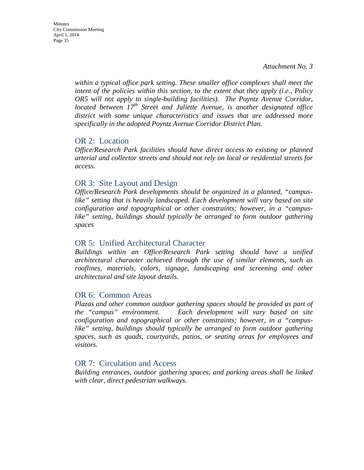*within a typical office park setting. These smaller office complexes shall meet the intent of the policies within this section, to the extent that they apply (i.e., Policy OR5 will not apply to single-building facilities). The Poyntz Avenue Corridor, located between 17th Street and Juliette Avenue, is another designated office district with some unique characteristics and issues that are addressed more specifically in the adopted Poyntz Avenue Corridor District Plan.* 

#### OR 2: Location

*Office/Research Park facilities should have direct access to existing or planned arterial and collector streets and should not rely on local or residential streets for access.*

#### OR 3: Site Layout and Design

*Office/Research Park developments should be organized in a planned, "campuslike" setting that is heavily landscaped. Each development will vary based on site configuration and topographical or other constraints; however, in a "campuslike" setting, buildings should typically be arranged to form outdoor gathering spaces*

## OR 5: Unified Architectural Character

*Buildings within an Office/Research Park setting should have a unified architectural character achieved through the use of similar elements, such as rooflines, materials, colors, signage, landscaping and screening and other architectural and site layout details.* 

#### OR 6: Common Areas

*Plazas and other common outdoor gathering spaces should be provided as part of the "campus" environment. Each development will vary based on site configuration and topographical or other constraints; however, in a "campuslike" setting, buildings should typically be arranged to form outdoor gathering spaces, such as quads, courtyards, patios, or seating areas for employees and visitors.* 

## OR 7: Circulation and Access

*Building entrances, outdoor gathering spaces, and parking areas shall be linked with clear, direct pedestrian walkways.*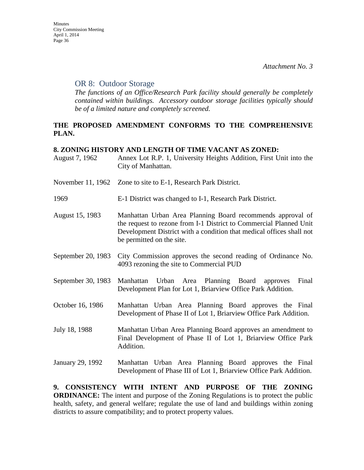#### OR 8: Outdoor Storage

*The functions of an Office/Research Park facility should generally be completely contained within buildings. Accessory outdoor storage facilities typically should be of a limited nature and completely screened.*

## **THE PROPOSED AMENDMENT CONFORMS TO THE COMPREHENSIVE PLAN.**

#### **8. ZONING HISTORY AND LENGTH OF TIME VACANT AS ZONED:**

| August 7, 1962     | Annex Lot R.P. 1, University Heights Addition, First Unit into the<br>City of Manhattan.                                                                                                                                              |
|--------------------|---------------------------------------------------------------------------------------------------------------------------------------------------------------------------------------------------------------------------------------|
|                    | November 11, 1962 Zone to site to E-1, Research Park District.                                                                                                                                                                        |
| 1969               | E-1 District was changed to I-1, Research Park District.                                                                                                                                                                              |
| August 15, 1983    | Manhattan Urban Area Planning Board recommends approval of<br>the request to rezone from I-1 District to Commercial Planned Unit<br>Development District with a condition that medical offices shall not<br>be permitted on the site. |
| September 20, 1983 | City Commission approves the second reading of Ordinance No.<br>4093 rezoning the site to Commercial PUD                                                                                                                              |
| September 30, 1983 | Urban Area Planning Board approves<br>Final<br>Manhattan<br>Development Plan for Lot 1, Briarview Office Park Addition.                                                                                                               |
| October 16, 1986   | Manhattan Urban Area Planning Board approves the Final<br>Development of Phase II of Lot 1, Briarview Office Park Addition.                                                                                                           |
| July 18, 1988      | Manhattan Urban Area Planning Board approves an amendment to<br>Final Development of Phase II of Lot 1, Briarview Office Park<br>Addition.                                                                                            |
| January 29, 1992   | Manhattan Urban Area Planning Board approves the Final<br>Development of Phase III of Lot 1, Briarview Office Park Addition.                                                                                                          |

**9. CONSISTENCY WITH INTENT AND PURPOSE OF THE ZONING ORDINANCE:** The intent and purpose of the Zoning Regulations is to protect the public health, safety, and general welfare; regulate the use of land and buildings within zoning districts to assure compatibility; and to protect property values.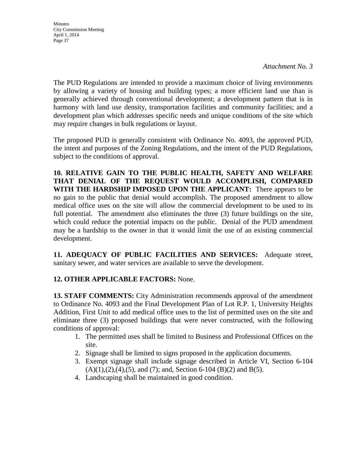The PUD Regulations are intended to provide a maximum choice of living environments by allowing a variety of housing and building types; a more efficient land use than is generally achieved through conventional development; a development pattern that is in harmony with land use density, transportation facilities and community facilities; and a development plan which addresses specific needs and unique conditions of the site which may require changes in bulk regulations or layout.

The proposed PUD is generally consistent with Ordinance No. 4093, the approved PUD, the intent and purposes of the Zoning Regulations, and the intent of the PUD Regulations, subject to the conditions of approval.

**10. RELATIVE GAIN TO THE PUBLIC HEALTH, SAFETY AND WELFARE THAT DENIAL OF THE REQUEST WOULD ACCOMPLISH, COMPARED WITH THE HARDSHIP IMPOSED UPON THE APPLICANT:** There appears to be no gain to the public that denial would accomplish. The proposed amendment to allow medical office uses on the site will allow the commercial development to be used to its full potential. The amendment also eliminates the three (3) future buildings on the site, which could reduce the potential impacts on the public. Denial of the PUD amendment may be a hardship to the owner in that it would limit the use of an existing commercial development.

**11. ADEQUACY OF PUBLIC FACILITIES AND SERVICES:** Adequate street, sanitary sewer, and water services are available to serve the development.

## **12. OTHER APPLICABLE FACTORS:** None.

**13. STAFF COMMENTS:** City Administration recommends approval of the amendment to Ordinance No. 4093 and the Final Development Plan of Lot R.P. 1, University Heights Addition, First Unit to add medical office uses to the list of permitted uses on the site and eliminate three (3) proposed buildings that were never constructed, with the following conditions of approval:

- 1. The permitted uses shall be limited to Business and Professional Offices on the site.
- 2. Signage shall be limited to signs proposed in the application documents.
- 3. Exempt signage shall include signage described in Article VI, Section 6-104  $(A)(1),(2),(4),(5)$ , and  $(7)$ ; and, Section 6-104  $(B)(2)$  and  $B(5)$ .
- 4. Landscaping shall be maintained in good condition.